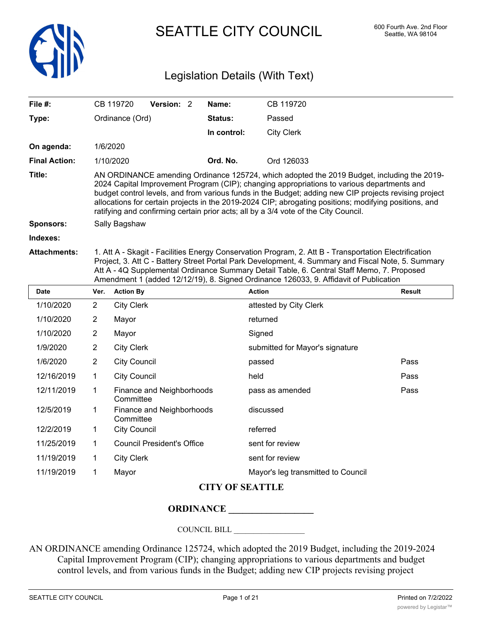

SEATTLE CITY COUNCIL 600 Fourth Ave. 2nd Floor

# Legislation Details (With Text)

| File $#$ :           |                | CB 119720         | Version: 2 | Name:       | CB 119720                                                                                                                                                                                                                                                                                                                                                                                                                                                                                         |               |
|----------------------|----------------|-------------------|------------|-------------|---------------------------------------------------------------------------------------------------------------------------------------------------------------------------------------------------------------------------------------------------------------------------------------------------------------------------------------------------------------------------------------------------------------------------------------------------------------------------------------------------|---------------|
| Type:                |                | Ordinance (Ord)   |            | Status:     | Passed                                                                                                                                                                                                                                                                                                                                                                                                                                                                                            |               |
|                      |                |                   |            | In control: | <b>City Clerk</b>                                                                                                                                                                                                                                                                                                                                                                                                                                                                                 |               |
| On agenda:           |                | 1/6/2020          |            |             |                                                                                                                                                                                                                                                                                                                                                                                                                                                                                                   |               |
| <b>Final Action:</b> |                | 1/10/2020         |            | Ord. No.    | Ord 126033                                                                                                                                                                                                                                                                                                                                                                                                                                                                                        |               |
| Title:               |                |                   |            |             | AN ORDINANCE amending Ordinance 125724, which adopted the 2019 Budget, including the 2019-<br>2024 Capital Improvement Program (CIP); changing appropriations to various departments and<br>budget control levels, and from various funds in the Budget; adding new CIP projects revising project<br>allocations for certain projects in the 2019-2024 CIP; abrogating positions; modifying positions, and<br>ratifying and confirming certain prior acts; all by a 3/4 vote of the City Council. |               |
| <b>Sponsors:</b>     |                | Sally Bagshaw     |            |             |                                                                                                                                                                                                                                                                                                                                                                                                                                                                                                   |               |
| Indexes:             |                |                   |            |             |                                                                                                                                                                                                                                                                                                                                                                                                                                                                                                   |               |
| <b>Attachments:</b>  |                |                   |            |             | 1. Att A - Skagit - Facilities Energy Conservation Program, 2. Att B - Transportation Electrification<br>Project, 3. Att C - Battery Street Portal Park Development, 4. Summary and Fiscal Note, 5. Summary<br>Att A - 4Q Supplemental Ordinance Summary Detail Table, 6. Central Staff Memo, 7. Proposed<br>Amendment 1 (added 12/12/19), 8. Signed Ordinance 126033, 9. Affidavit of Publication                                                                                                |               |
| <b>Date</b>          | Ver.           | <b>Action By</b>  |            |             | <b>Action</b>                                                                                                                                                                                                                                                                                                                                                                                                                                                                                     | <b>Result</b> |
| 1/10/2020            | $\overline{2}$ | <b>City Clerk</b> |            |             | attested by City Clerk                                                                                                                                                                                                                                                                                                                                                                                                                                                                            |               |
| 1/10/2020            | $\overline{2}$ | Mayor             |            |             | returned                                                                                                                                                                                                                                                                                                                                                                                                                                                                                          |               |
| 1/10/2020            | 2              | Mayor             |            |             | Signed                                                                                                                                                                                                                                                                                                                                                                                                                                                                                            |               |

| 12/2/2019    | $\blacksquare$ 1 | City Council               | referred                           |
|--------------|------------------|----------------------------|------------------------------------|
| 11/25/2019   | $\mathbf{1}$     | Council President's Office | sent for review                    |
| 11/19/2019 1 |                  | City Clerk                 | sent for review                    |
| 11/19/2019   |                  | Mavor                      | Mayor's leg transmitted to Council |

**Committee** 

**Committee** 

#### **CITY OF SEATTLE**

#### **ORDINANCE \_\_\_\_\_\_\_\_\_\_\_\_\_\_\_\_\_\_**

1/9/2020 2 City Clerk Submitted for Mayor's signature

Finance and Neighborhoods discussed

1/6/2020 2 City Council passed Pass 12/16/2019 1 City Council **12/16/2019** held **Pass** 12/11/2019 1 Finance and Neighborhoods pass as amended Pass

#### COUNCIL BILL \_\_\_\_\_\_\_\_\_\_\_\_\_\_\_\_\_\_

AN ORDINANCE amending Ordinance 125724, which adopted the 2019 Budget, including the 2019-2024 Capital Improvement Program (CIP); changing appropriations to various departments and budget control levels, and from various funds in the Budget; adding new CIP projects revising project

12/5/2019 1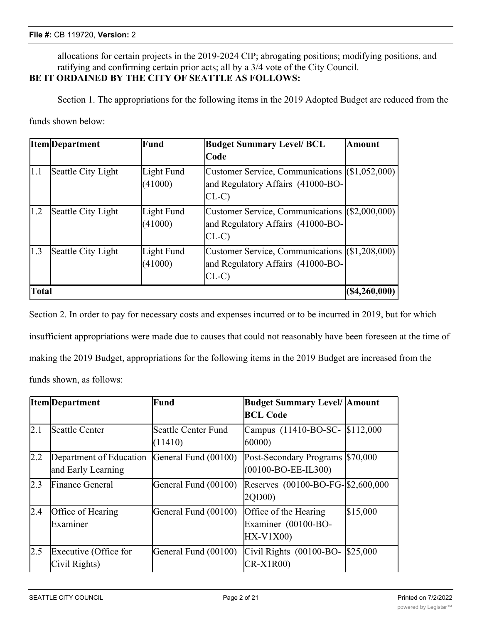allocations for certain projects in the 2019-2024 CIP; abrogating positions; modifying positions, and ratifying and confirming certain prior acts; all by a 3/4 vote of the City Council.

## **BE IT ORDAINED BY THE CITY OF SEATTLE AS FOLLOWS:**

Section 1. The appropriations for the following items in the 2019 Adopted Budget are reduced from the funds shown below:

|              | <b>Item</b> Department | Fund                  | <b>Budget Summary Level/ BCL</b>                                                              | <b>Amount</b>      |
|--------------|------------------------|-----------------------|-----------------------------------------------------------------------------------------------|--------------------|
|              |                        |                       | lCode                                                                                         |                    |
| 1.1          | Seattle City Light     | Light Fund<br>(41000) | Customer Service, Communications (\$1,052,000)<br>and Regulatory Affairs (41000-BO-<br>$CL-C$ |                    |
| 1.2          | Seattle City Light     | Light Fund<br>(41000) | Customer Service, Communications (\$2,000,000)<br>and Regulatory Affairs (41000-BO-<br>$CL-C$ |                    |
| 1.3          | Seattle City Light     | Light Fund<br>(41000) | Customer Service, Communications (\$1,208,000)<br>and Regulatory Affairs (41000-BO-<br>$CL-C$ |                    |
| <b>Total</b> |                        |                       |                                                                                               | $( \$4, 260, 000)$ |

Section 2. In order to pay for necessary costs and expenses incurred or to be incurred in 2019, but for which insufficient appropriations were made due to causes that could not reasonably have been foreseen at the time of making the 2019 Budget, appropriations for the following items in the 2019 Budget are increased from the funds shown, as follows:

|     | <b>Item</b> Department                        | Fund                           | <b>Budget Summary Level/ Amount</b><br><b>BCL Code</b>                 |
|-----|-----------------------------------------------|--------------------------------|------------------------------------------------------------------------|
| 2.1 | Seattle Center                                | Seattle Center Fund<br>(11410) | Campus (11410-BO-SC- \$112,000<br>60000                                |
| 2.2 | Department of Education<br>and Early Learning | General Fund (00100)           | Post-Secondary Programs \$70,000<br>$(00100 - BO - EE - IL300)$        |
| 2.3 | <b>Finance General</b>                        | General Fund (00100)           | Reserves (00100-BO-FG-\$2,600,000<br>2QD00)                            |
| 2.4 | Office of Hearing<br>Examiner                 | General Fund (00100)           | \$15,000<br>Office of the Hearing<br>Examiner (00100-BO-<br>$HX-V1X00$ |
| 2.5 | Executive (Office for<br>Civil Rights)        | General Fund (00100)           | Civil Rights (00100-BO-<br>\$25,000<br>$CR-X1R00$                      |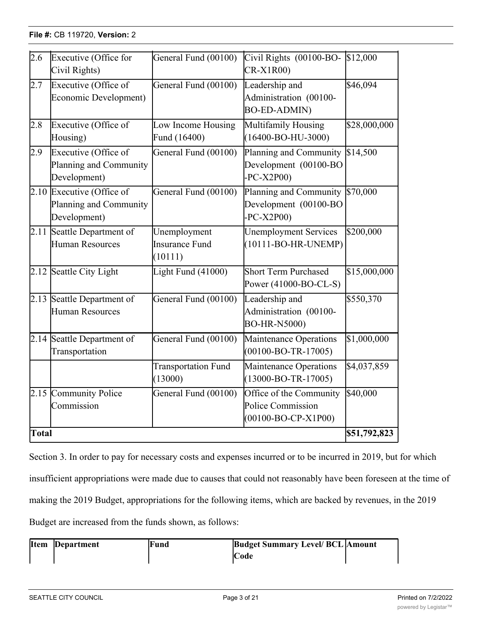## **File #: CB 119720, Version: 2** <u>Civil Rights)</u>

| 2.6          | Executive (Office for<br>Civil Rights)                              | General Fund (00100)                             | Civil Rights (00100-BO-<br>$CR-X1R00$                                       | \$12,000         |
|--------------|---------------------------------------------------------------------|--------------------------------------------------|-----------------------------------------------------------------------------|------------------|
| 2.7          | Executive (Office of<br>Economic Development)                       | General Fund (00100)                             | Leadership and<br>Administration (00100-<br><b>BO-ED-ADMIN)</b>             | \$46,094         |
| 2.8          | Executive (Office of<br>Housing)                                    | Low Income Housing<br>Fund (16400)               | Multifamily Housing<br>$(16400 - BO-HU-3000)$                               | \$28,000,000     |
| 2.9          | Executive (Office of<br>Planning and Community<br>Development)      | General Fund (00100)                             | Planning and Community<br>Development (00100-BO<br>$-PC-X2P00$              | \$14,500         |
|              | 2.10 Executive (Office of<br>Planning and Community<br>Development) | General Fund (00100)                             | Planning and Community \$70,000<br>Development (00100-BO<br>$-PC-X2P00$     |                  |
|              | 2.11 Seattle Department of<br><b>Human Resources</b>                | Unemployment<br><b>Insurance Fund</b><br>(10111) | <b>Unemployment Services</b><br>$(10111-BO-HR-UNEMP)$                       | \$200,000        |
|              | 2.12 Seattle City Light                                             | Light Fund (41000)                               | <b>Short Term Purchased</b><br>Power (41000-BO-CL-S)                        | \$15,000,000     |
|              | 2.13 Seattle Department of<br><b>Human Resources</b>                | General Fund (00100)                             | Leadership and<br>Administration (00100-<br><b>BO-HR-N5000)</b>             | \$550,370        |
|              | 2.14 Seattle Department of<br>Transportation                        | General Fund (00100)                             | Maintenance Operations<br>$(00100 - BO - TR - 17005)$                       | \$1,000,000      |
|              |                                                                     | <b>Transportation Fund</b><br>(13000)            | Maintenance Operations<br>$(13000 - BO - TR - 17005)$                       | \$4,037,859      |
|              | 2.15 Community Police<br>Commission                                 | General Fund (00100)                             | Office of the Community<br>Police Commission<br>$(00100 - BO - CP - X1P00)$ | $\sqrt{540,000}$ |
| <b>Total</b> |                                                                     |                                                  |                                                                             | \$51,792,823     |

 $G_{\rm eff}$   $G_{\rm eff}$   $G_{\rm eff}$   $G_{\rm eff}$   $G_{\rm eff}$   $G_{\rm eff}$   $G_{\rm eff}$   $G_{\rm eff}$   $G_{\rm eff}$   $G_{\rm eff}$   $G_{\rm eff}$ 

<u>CR-X1R00)</u><br>Cr-X1R000<br>CR-X1R0000

\$25,000

Section 3. In order to pay for necessary costs and expenses incurred or to be incurred in 2019, but for which insufficient appropriations were made due to causes that could not reasonably have been foreseen at the time of making the 2019 Budget, appropriations for the following items, which are backed by revenues, in the 2019 Budget are increased from the funds shown, as follows:

| <b>Item</b> | Department | Fund | <b>Budget Summary Level/ BCL Amount</b> |
|-------------|------------|------|-----------------------------------------|
|             |            |      | <b>Code</b>                             |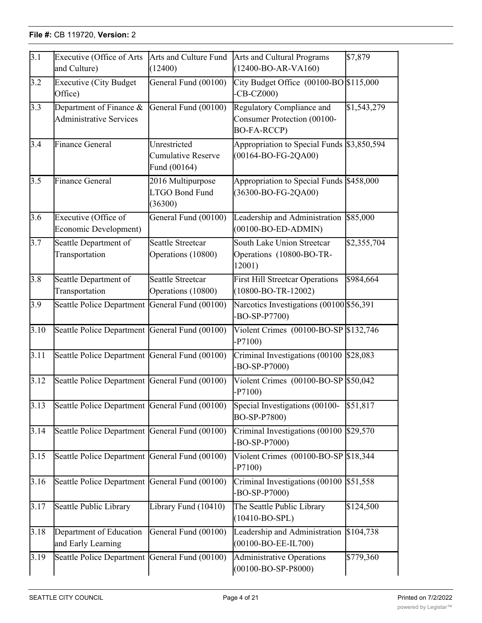| $\overline{3.1}$ | Executive (Office of Arts<br>and Culture)                 | Arts and Culture Fund<br>(12400)                   | Arts and Cultural Programs<br>$(12400 - BO-AR-VA160)$                   | \$7,879     |
|------------------|-----------------------------------------------------------|----------------------------------------------------|-------------------------------------------------------------------------|-------------|
| 3.2              | <b>Executive (City Budget</b><br>Office)                  | General Fund (00100)                               | City Budget Office $(00100 - BO$ \$115,000<br>$-CB-CZ000$               |             |
| 3.3              | Department of Finance &<br><b>Administrative Services</b> | General Fund (00100)                               | Regulatory Compliance and<br>Consumer Protection (00100-<br>BO-FA-RCCP) | \$1,543,279 |
| 3.4              | <b>Finance General</b>                                    | Unrestricted<br>Cumulative Reserve<br>Fund (00164) | Appropriation to Special Funds \$3,850,594<br>$(00164 - BO-FG-2QA00)$   |             |
| $\overline{3.5}$ | Finance General                                           | 2016 Multipurpose<br>LTGO Bond Fund<br>(36300)     | Appropriation to Special Funds \$458,000<br>(36300-BO-FG-2QA00)         |             |
| $\overline{3.6}$ | Executive (Office of<br>Economic Development)             | General Fund (00100)                               | Leadership and Administration<br>$(00100-BO-ED-ADMIN)$                  | \$85,000    |
| 3.7              | Seattle Department of<br>Transportation                   | Seattle Streetcar<br>Operations (10800)            | South Lake Union Streetcar<br>Operations (10800-BO-TR-<br>12001)        | \$2,355,704 |
| $3.\overline{8}$ | Seattle Department of<br>Transportation                   | <b>Seattle Streetcar</b><br>Operations (10800)     | <b>First Hill Streetcar Operations</b><br>$(10800 - BO - TR - 12002)$   | \$984,664   |
| 3.9              | Seattle Police Department                                 | General Fund (00100)                               | Narcotics Investigations (00100 \$56,391)<br>$-BO-SP- P7700$            |             |
| 3.10             | Seattle Police Department General Fund (00100)            |                                                    | Violent Crimes $(00100 - BO - SP)$ \$132,746<br>$-P7100)$               |             |
| 3.11             | Seattle Police Department General Fund (00100)            |                                                    | Criminal Investigations $(00100 \times 28,083)$<br>$-BO-SP-P7000$       |             |
| 3.12             | Seattle Police Department General Fund (00100)            |                                                    | Violent Crimes (00100-BO-SP \$50,042)<br>$-P7100)$                      |             |
| 3.13             | Seattle Police Department General Fund (00100)            |                                                    | Special Investigations (00100-\$51,817)<br>BO-SP-P7800)                 |             |
| 3.14             | Seattle Police Department General Fund (00100)            |                                                    | Criminal Investigations (00100 \$29,570<br>-BO-SP-P7000)                |             |
| 3.15             | Seattle Police Department General Fund (00100)            |                                                    | Violent Crimes $(00100 - BO - SP)$ \$18,344<br>$-P7100)$                |             |
| 3.16             | Seattle Police Department General Fund (00100)            |                                                    | Criminal Investigations $(00100 \, \text{S}51, 558)$<br>-BO-SP-P7000)   |             |
| 3.17             | Seattle Public Library                                    | Library Fund (10410)                               | The Seattle Public Library<br>$(10410-BO-SPL)$                          | \$124,500   |
| 3.18             | Department of Education<br>and Early Learning             | General Fund (00100)                               | Leadership and Administration<br>$(00100 - BO - EE - IL700)$            | \$104,738   |
| 3.19             | Seattle Police Department                                 | General Fund (00100)                               | <b>Administrative Operations</b><br>$(00100 - BO - SP - P8000)$         | \$779,360   |

**Code**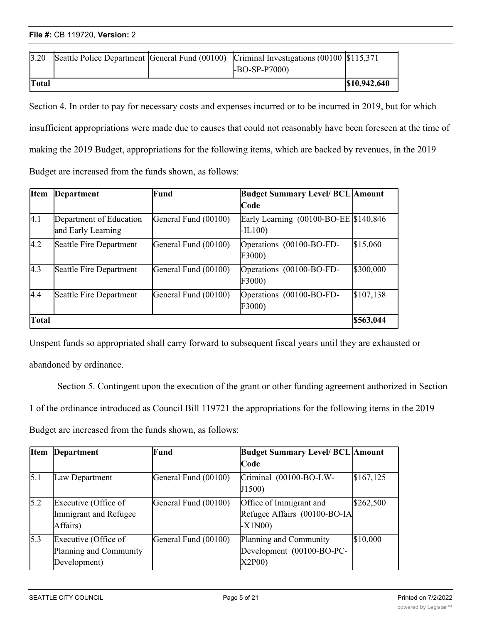| File #: CB 119720, Version: 2 |  |
|-------------------------------|--|
|-------------------------------|--|

| 3.20         |  | Seattle Police Department General Fund (00100) Criminal Investigations (00100 \$115,371 |              |
|--------------|--|-----------------------------------------------------------------------------------------|--------------|
|              |  | $-BO-SP-P7000$                                                                          |              |
| <b>Total</b> |  |                                                                                         | \$10,942,640 |

Section 4. In order to pay for necessary costs and expenses incurred or to be incurred in 2019, but for which insufficient appropriations were made due to causes that could not reasonably have been foreseen at the time of making the 2019 Budget, appropriations for the following items, which are backed by revenues, in the 2019 Budget are increased from the funds shown, as follows:

 $\overline{\phantom{a}}$  (1001)  $\overline{\phantom{a}}$  (1001)  $\overline{\phantom{a}}$  (1001)  $\overline{\phantom{a}}$  (1001)  $\overline{\phantom{a}}$  (1001)  $\overline{\phantom{a}}$ 

| <b>Item</b> | <b>Department</b>                             | Fund                 | <b>Budget Summary Level/ BCL Amount</b>             |           |
|-------------|-----------------------------------------------|----------------------|-----------------------------------------------------|-----------|
|             |                                               |                      | Code                                                |           |
| 4.1         | Department of Education<br>and Early Learning | General Fund (00100) | Early Learning (00100-BO-EE \\$140,846)<br>$-IL100$ |           |
| 4.2         | Seattle Fire Department                       | General Fund (00100) | Operations (00100-BO-FD-<br>F3000                   | \$15,060  |
| 4.3         | Seattle Fire Department                       | General Fund (00100) | Operations (00100-BO-FD-<br>F3000)                  | \$300,000 |
| 4.4         | Seattle Fire Department                       | General Fund (00100) | Operations (00100-BO-FD-<br>F3000)                  | \$107,138 |
| Total       |                                               |                      |                                                     | \$563,044 |

Unspent funds so appropriated shall carry forward to subsequent fiscal years until they are exhausted or abandoned by ordinance.

Section 5. Contingent upon the execution of the grant or other funding agreement authorized in Section 1 of the ordinance introduced as Council Bill 119721 the appropriations for the following items in the 2019 Budget are increased from the funds shown, as follows:

| <b>Item</b> | Department                                                     | Fund                 | <b>Budget Summary Level/ BCL Amount</b>                             |            |
|-------------|----------------------------------------------------------------|----------------------|---------------------------------------------------------------------|------------|
|             |                                                                |                      | <b>Code</b>                                                         |            |
| 5.1         | Law Department                                                 | General Fund (00100) | Criminal (00100-BO-LW-<br>J1500                                     | \$167, 125 |
| 5.2         | Executive (Office of<br>Immigrant and Refugee<br>Affairs)      | General Fund (00100) | Office of Immigrant and<br>Refugee Affairs (00100-BO-IA<br>$-X1N00$ | \$262,500  |
| 5.3         | Executive (Office of<br>Planning and Community<br>Development) | General Fund (00100) | Planning and Community<br>Development (00100-BO-PC-<br>X2P00        | \$10,000   |

F3000)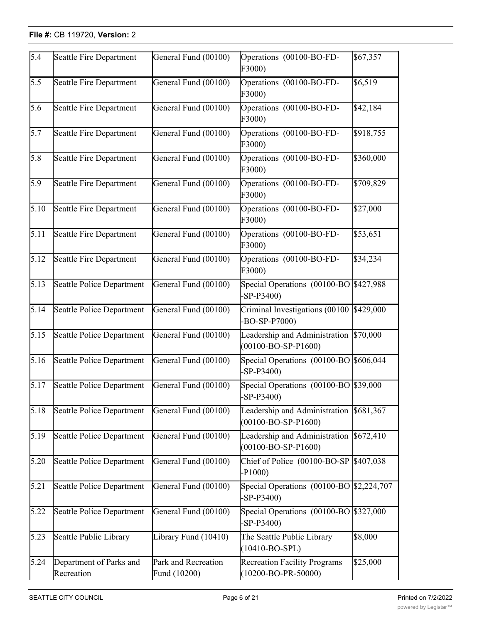#### **File #: CB 119720, Version: 2** Development)

| $\overline{5.4}$ | Seattle Fire Department               | General Fund (00100)                | Operations (00100-BO-FD-<br>F3000)                           | \$67,357  |
|------------------|---------------------------------------|-------------------------------------|--------------------------------------------------------------|-----------|
| $5.\overline{5}$ | Seattle Fire Department               | General Fund (00100)                | Operations (00100-BO-FD-<br>F3000)                           | \$6,519   |
| 5.6              | <b>Seattle Fire Department</b>        | General Fund (00100)                | Operations (00100-BO-FD-<br>F3000)                           | \$42,184  |
| 5.7              | Seattle Fire Department               | General Fund (00100)                | Operations (00100-BO-FD-<br>F3000)                           | \$918,755 |
| $\overline{5.8}$ | Seattle Fire Department               | General Fund (00100)                | Operations (00100-BO-FD-<br>F3000)                           | \$360,000 |
| 5.9              | <b>Seattle Fire Department</b>        | General Fund (00100)                | Operations (00100-BO-FD-<br>F3000)                           | \$709,829 |
| 5.10             | Seattle Fire Department               | General Fund (00100)                | Operations (00100-BO-FD-<br>F3000)                           | \$27,000  |
| 5.11             | Seattle Fire Department               | General Fund (00100)                | Operations (00100-BO-FD-<br>F3000)                           | \$53,651  |
| 5.12             | <b>Seattle Fire Department</b>        | General Fund (00100)                | Operations (00100-BO-FD-<br>F3000)                           | \$34,234  |
| 5.13             | <b>Seattle Police Department</b>      | General Fund (00100)                | Special Operations (00100-BO \$427,988)<br>$-SP-P3400$       |           |
| 5.14             | Seattle Police Department             | General Fund (00100)                | Criminal Investigations (00100<br>$-BO-SP-P7000$             | \$429,000 |
| 5.15             | <b>Seattle Police Department</b>      | General Fund (00100)                | Leadership and Administration<br>$(00100 - BO - SP - P1600)$ | \$70,000  |
| 5.16             | <b>Seattle Police Department</b>      | General Fund (00100)                | Special Operations (00100-BO \$606,044<br>$-SP-P3400$        |           |
| 5.17             | <b>Seattle Police Department</b>      | General Fund (00100)                | Special Operations (00100-BO \$39,000<br>$-SP-P3400$         |           |
| 5.18             | Seattle Police Department             | General Fund (00100)                | Leadership and Administration<br>$(00100 - BO - SP - P1600)$ | \$681,367 |
| 5.19             | Seattle Police Department             | General Fund (00100)                | Leadership and Administration<br>$(00100 - BO - SP - P1600)$ | \$672,410 |
| 5.20             | Seattle Police Department             | General Fund (00100)                | Chief of Police (00100-BO-SP<br>$-P1000)$                    | \$407,038 |
| 5.21             | Seattle Police Department             | General Fund (00100)                | Special Operations (00100-BO \$2,224,707<br>$-SP-P3400$      |           |
| 5.22             | <b>Seattle Police Department</b>      | General Fund (00100)                | Special Operations (00100-BO \$327,000<br>$-SP-P3400$        |           |
| 5.23             | Seattle Public Library                | Library Fund (10410)                | The Seattle Public Library<br>$(10410-BO-SPL)$               | \$8,000   |
| 5.24             | Department of Parks and<br>Recreation | Park and Recreation<br>Fund (10200) | Recreation Facility Programs<br>$(10200 - BO-PR-50000)$      | \$25,000  |

 $\mathcal{L}(\mathcal{L})$ 

**Total \$8,576,708**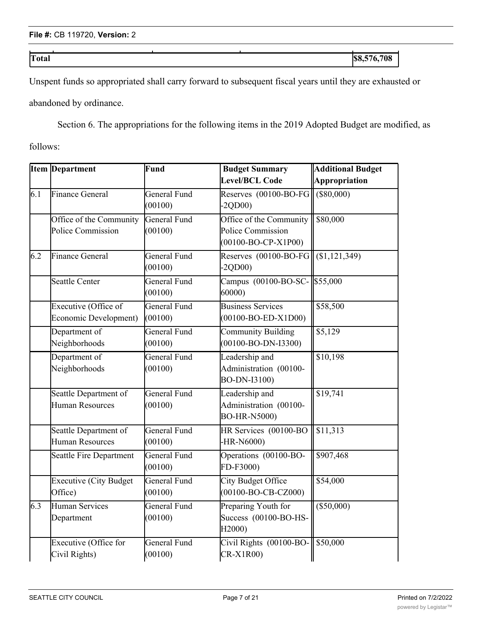<u>records and the creative</u>

**Total \$8,576,708**

Unspent funds so appropriated shall carry forward to subsequent fiscal years until they are exhausted or abandoned by ordinance.

<u>Fund (1020)</u>

Section 6. The appropriations for the following items in the 2019 Adopted Budget are modified, as

(1020<del>-bo-pro-5000-bo-pro-500</del>0)

follows:

|     | <b>Item Department</b>                        | Fund                           | <b>Budget Summary</b>                                                       | <b>Additional Budget</b> |  |
|-----|-----------------------------------------------|--------------------------------|-----------------------------------------------------------------------------|--------------------------|--|
|     |                                               |                                | Level/BCL Code                                                              | Appropriation            |  |
| 6.1 | Finance General                               | General Fund<br>(00100)        | Reserves (00100-BO-FG<br>$-2QDO0$                                           | $($ \$80,000)            |  |
|     | Office of the Community<br>Police Commission  | <b>General Fund</b><br>(00100) | Office of the Community<br>Police Commission<br>$(00100 - BO - CP - X1P00)$ | \$80,000                 |  |
| 6.2 | Finance General                               | General Fund<br>(00100)        | Reserves (00100-BO-FG<br>$-2QDO0$                                           | (\$1,121,349)            |  |
|     | Seattle Center                                | General Fund<br>(00100)        | Campus (00100-BO-SC-<br>60000)                                              | \$55,000                 |  |
|     | Executive (Office of<br>Economic Development) | <b>General Fund</b><br>(00100) | <b>Business Services</b><br>$(00100 - BO - ED - X1D00)$                     | \$58,500                 |  |
|     | Department of<br>Neighborhoods                | General Fund<br>(00100)        | <b>Community Building</b><br>$(00100 - BO-DN-I3300)$                        | \$5,129                  |  |
|     | Department of<br>Neighborhoods                | General Fund<br>(00100)        | Leadership and<br>Administration (00100-<br>BO-DN-I3100)                    | \$10,198                 |  |
|     | Seattle Department of<br>Human Resources      | General Fund<br>(00100)        | Leadership and<br>Administration (00100-<br><b>BO-HR-N5000)</b>             | \$19,741                 |  |
|     | Seattle Department of<br>Human Resources      | General Fund<br>(00100)        | HR Services (00100-BO<br>-HR-N6000)                                         | \$11,313                 |  |
|     | Seattle Fire Department                       | General Fund<br>(00100)        | Operations (00100-BO-<br>FD-F3000)                                          | \$907,468                |  |
|     | <b>Executive (City Budget</b><br>Office)      | General Fund<br>(00100)        | City Budget Office<br>$(00100 - BO - CB - CZ000)$                           | \$54,000                 |  |
| 6.3 | Human Services<br>Department                  | General Fund<br>(00100)        | Preparing Youth for<br>Success (00100-BO-HS-<br>H2000)                      | $(\$50,000)$             |  |
|     | Executive (Office for<br>Civil Rights)        | General Fund<br>(00100)        | Civil Rights (00100-BO-<br>CR-X1R00)                                        | \$50,000                 |  |

(50410)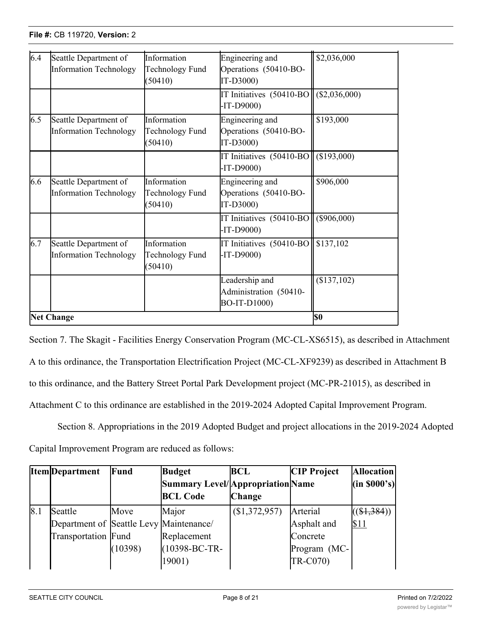(<del>)</del>

<u>Civil Rights) (Civil Rights)</u>

| 6.4 | Seattle Department of<br>Information Technology | Information<br>Technology Fund<br>(50410) | Engineering and<br>Operations (50410-BO-<br>IT-D3000)    | \$2,036,000   |
|-----|-------------------------------------------------|-------------------------------------------|----------------------------------------------------------|---------------|
|     |                                                 |                                           | IT Initiatives (50410-BO<br>$-IT-D9000$                  | (\$2,036,000) |
| 6.5 | Seattle Department of<br>Information Technology | Information<br>Technology Fund<br>(50410) | Engineering and<br>Operations (50410-BO-<br>IT-D3000)    | \$193,000     |
|     |                                                 |                                           | IT Initiatives (50410-BO<br>$-IT-D9000$                  | (\$193,000)   |
| 6.6 | Seattle Department of<br>Information Technology | Information<br>Technology Fund<br>(50410) | Engineering and<br>Operations (50410-BO-<br>IT-D3000)    | \$906,000     |
|     |                                                 |                                           | IT Initiatives (50410-BOI<br>$-IT-D9000$                 | $(\$906,000)$ |
| 6.7 | Seattle Department of<br>Information Technology | Information<br>Technology Fund<br>(50410) | IT Initiatives (50410-BO   \$137,102<br>$-IT-D9000$      |               |
|     |                                                 |                                           | Leadership and<br>Administration (50410-<br>BO-IT-D1000) | (\$137,102)   |
|     | <b>Net Change</b>                               |                                           |                                                          | <b>SO</b>     |

<u>CR-X1R00)</u><br>CR-X1R000<br>CR-X1R0000 (CR-X1R0000)

Section 7. The Skagit - Facilities Energy Conservation Program (MC-CL-XS6515), as described in Attachment A to this ordinance, the Transportation Electrification Project (MC-CL-XF9239) as described in Attachment B to this ordinance, and the Battery Street Portal Park Development project (MC-PR-21015), as described in Attachment C to this ordinance are established in the 2019-2024 Adopted Capital Improvement Program.

Section 8. Appropriations in the 2019 Adopted Budget and project allocations in the 2019-2024 Adopted Capital Improvement Program are reduced as follows:

|     | <b>Item</b> Department                  | Fund    | <b>Budget</b>                    | <b>BCL</b>    | <b>CIP</b> Project | <b>Allocation</b> |
|-----|-----------------------------------------|---------|----------------------------------|---------------|--------------------|-------------------|
|     |                                         |         | Summary Level/Appropriation Name |               |                    | (in 8000's)       |
|     |                                         |         | <b>BCL Code</b>                  | <b>Change</b> |                    |                   |
| 8.1 | <b>Seattle</b>                          | Move    | Major                            | (\$1,372,957) | Arterial           | $((\$1,384))$     |
|     | Department of Seattle Levy Maintenance/ |         |                                  |               | Asphalt and        | \$11              |
|     | Transportation Fund                     |         | Replacement                      |               | Concrete           |                   |
|     |                                         | (10398) | (10398-BC-TR-                    |               | Program (MC-       |                   |
|     |                                         |         | 19001)                           |               | <b>TR-C070)</b>    |                   |

Seattle Levy

Baker

(\$1,722)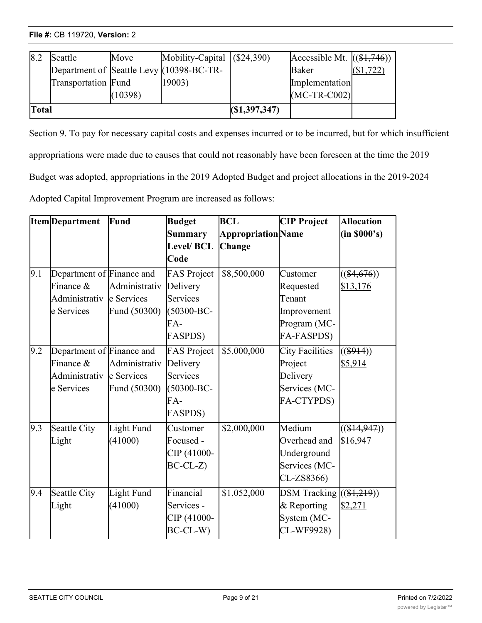| 8.2   | Seattle             | Move    | Mobility-Capital $(\$24,390)$            |                | Accessible Mt. $((\$1,746))$ |         |
|-------|---------------------|---------|------------------------------------------|----------------|------------------------------|---------|
|       |                     |         | Department of Seattle Levy (10398-BC-TR- |                | Baker                        | \$1,722 |
|       | Transportation Fund |         | 19003)                                   |                | Implementation               |         |
|       |                     | (10398) |                                          |                | $(MC-TR-C002)$               |         |
| Total |                     |         |                                          | (S1, 397, 347) |                              |         |

(10398-BC-TR-

19001)

Section 9. To pay for necessary capital costs and expenses incurred or to be incurred, but for which insufficient appropriations were made due to causes that could not reasonably have been foreseen at the time the 2019 Budget was adopted, appropriations in the 2019 Adopted Budget and project allocations in the 2019-2024 Adopted Capital Improvement Program are increased as follows:

Program (MC-

Transfer (1980)

|               |                 | <b>Budget</b>                                                                                                 | <b>BCL</b>  | <b>CIP Project</b>         | <b>Allocation</b>  |
|---------------|-----------------|---------------------------------------------------------------------------------------------------------------|-------------|----------------------------|--------------------|
|               |                 | Summary                                                                                                       |             |                            | (in 8000's)        |
|               |                 | <b>Level/BCL</b>                                                                                              | Change      |                            |                    |
|               |                 | Code                                                                                                          |             |                            |                    |
|               |                 | <b>FAS Project</b>                                                                                            | \$8,500,000 | Customer                   | $((\$4,676))$      |
| Finance $\&$  |                 |                                                                                                               |             | Requested                  | \$13,176           |
| Administrativ |                 | Services                                                                                                      |             | Tenant                     |                    |
| e Services    | Fund (50300)    | $(50300 - BC -$                                                                                               |             | Improvement                |                    |
|               |                 | FA-                                                                                                           |             | Program (MC-               |                    |
|               |                 | <b>FASPDS)</b>                                                                                                |             | FA-FASPDS)                 |                    |
|               |                 | <b>FAS Project</b>                                                                                            | \$5,000,000 | <b>City Facilities</b>     | $((\$914))$        |
| Finance $\&$  | Administrativ   | Delivery                                                                                                      |             | Project                    | \$5,914            |
| Administrativ |                 | Services                                                                                                      |             | Delivery                   |                    |
| e Services    | Fund (50300)    | $(50300 - BC -$                                                                                               |             | Services (MC-              |                    |
|               |                 | FA-                                                                                                           |             | FA-CTYPDS)                 |                    |
|               |                 | <b>FASPDS)</b>                                                                                                |             |                            |                    |
| Seattle City  | Light Fund      | Customer                                                                                                      | \$2,000,000 | Medium                     | $((\$14,947))$     |
| Light         | (41000)         | Focused -                                                                                                     |             | Overhead and               | \$16,947           |
|               |                 | CIP (41000-                                                                                                   |             | Underground                |                    |
|               |                 | $BC-CL-Z$                                                                                                     |             | Services (MC-              |                    |
|               |                 |                                                                                                               |             | CL-ZS8366)                 |                    |
| Seattle City  | Light Fund      | Financial                                                                                                     | \$1,052,000 | DSM Tracking $((\$1,219))$ |                    |
| Light         | (41000)         | Services -                                                                                                    |             | & Reporting                | \$2,271            |
|               |                 | CIP (41000-                                                                                                   |             | System (MC-                |                    |
|               |                 | BC-CL-W)                                                                                                      |             | CL-WF9928)                 |                    |
|               | Item Department | Fund<br>Department of Finance and<br>Administrativ<br>le Services<br>Department of Finance and<br>le Services | Delivery    |                            | Appropriation Name |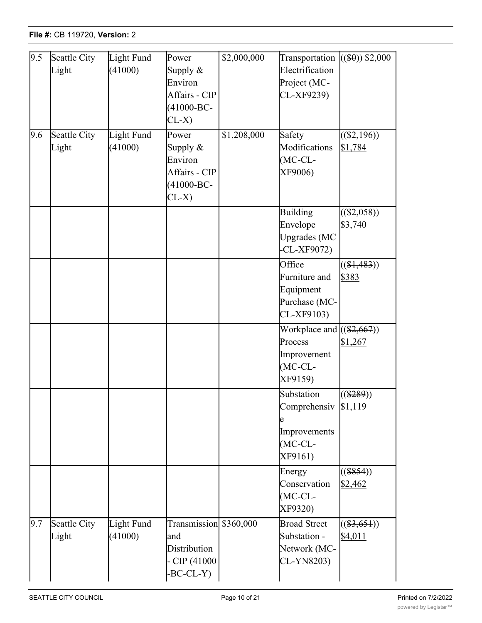| 9.5 | Seattle City | Light Fund | Power                  | \$2,000,000 | Transportation              | $((\$0) \$2,000)$ |
|-----|--------------|------------|------------------------|-------------|-----------------------------|-------------------|
|     | Light        | (41000)    | Supply $\&$            |             | Electrification             |                   |
|     |              |            | Environ                |             | Project (MC-                |                   |
|     |              |            | Affairs - CIP          |             | CL-XF9239)                  |                   |
|     |              |            | $(41000 - BC -$        |             |                             |                   |
|     |              |            | $CL-X)$                |             |                             |                   |
| 9.6 | Seattle City | Light Fund | Power                  | \$1,208,000 | Safety                      | $((\$2,196))$     |
|     | Light        | (41000)    | Supply $\&$            |             | Modifications               | \$1,784           |
|     |              |            | Environ                |             | $(MC-CL-$                   |                   |
|     |              |            | Affairs - CIP          |             | XF9006)                     |                   |
|     |              |            | $(41000 - BC -$        |             |                             |                   |
|     |              |            | $CL-X)$                |             |                             |                   |
|     |              |            |                        |             | <b>Building</b>             | $((\$2,058))$     |
|     |              |            |                        |             | Envelope                    | \$3,740           |
|     |              |            |                        |             | <b>Upgrades</b> (MC         |                   |
|     |              |            |                        |             | $-CL-XF9072$                |                   |
|     |              |            |                        |             | Office                      | $((\$1,483))$     |
|     |              |            |                        |             | Furniture and               | \$383             |
|     |              |            |                        |             | Equipment                   |                   |
|     |              |            |                        |             | Purchase (MC-               |                   |
|     |              |            |                        |             | CL-XF9103)                  |                   |
|     |              |            |                        |             | Workplace and $((\$2,667))$ |                   |
|     |              |            |                        |             | Process                     | \$1,267           |
|     |              |            |                        |             | Improvement                 |                   |
|     |              |            |                        |             | $(MC-CL-$                   |                   |
|     |              |            |                        |             | XF9159)                     |                   |
|     |              |            |                        |             | Substation                  | $((\$289))$       |
|     |              |            |                        |             | Comprehensiv \$1,119        |                   |
|     |              |            |                        |             |                             |                   |
|     |              |            |                        |             | Improvements                |                   |
|     |              |            |                        |             | $(MC-CL-$<br>XF9161)        |                   |
|     |              |            |                        |             |                             |                   |
|     |              |            |                        |             | Energy                      | $($ \$854))       |
|     |              |            |                        |             | Conservation                | \$2,462           |
|     |              |            |                        |             | $(MC-CL-$                   |                   |
|     |              |            |                        |             | XF9320)                     |                   |
| 9.7 | Seattle City | Light Fund | Transmission \$360,000 |             | <b>Broad Street</b>         | $((\$3,651))$     |
|     | Light        | (41000)    | and<br>Distribution    |             | Substation -                | \$4,011           |
|     |              |            | CIP (41000             |             | Network (MC-<br>CL-YN8203)  |                   |
|     |              |            | $-BC-CL-Y)$            |             |                             |                   |
|     |              |            |                        |             |                             |                   |

CIP (41000- BC-CL-W)

System (MC-<u>Classical Classical Classical</u>

Transportation

Mobility-

 $\frac{1}{1,5,5,5}$ )),  $\frac{1}{1,5,5,5}$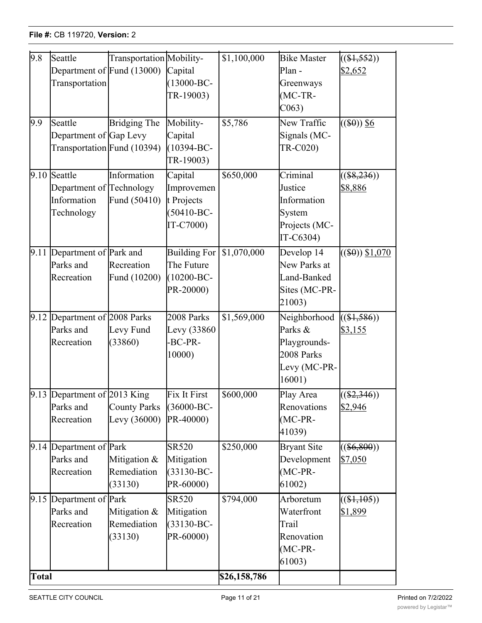| Seattle<br>Department of Fund (13000)<br>Transportation | Transportation Mobility-                                                                                                       |                                                                                                                                                                                                                                                                                                                                                                                           | \$1,100,000                                                                                    | <b>Bike Master</b>                                                              | $((\$1,552))$                            |
|---------------------------------------------------------|--------------------------------------------------------------------------------------------------------------------------------|-------------------------------------------------------------------------------------------------------------------------------------------------------------------------------------------------------------------------------------------------------------------------------------------------------------------------------------------------------------------------------------------|------------------------------------------------------------------------------------------------|---------------------------------------------------------------------------------|------------------------------------------|
|                                                         |                                                                                                                                | Capital<br>$(13000 - BC -$<br>TR-19003)                                                                                                                                                                                                                                                                                                                                                   |                                                                                                | Plan -<br>Greenways<br>$MC-TR-$                                                 | \$2,652                                  |
| Seattle                                                 | <b>Bridging The</b>                                                                                                            | Capital<br>$(10394 - BC -$<br>TR-19003)                                                                                                                                                                                                                                                                                                                                                   | $\overline{$5,786}$                                                                            | New Traffic<br>Signals (MC-<br>TR-C020)                                         | $((\$0))$ \$6                            |
| Information<br>Technology                               |                                                                                                                                | Capital<br>Improvemen<br>$(50410 - BC -$<br>IT-C7000)                                                                                                                                                                                                                                                                                                                                     | \$650,000                                                                                      | Criminal<br>Information<br>System<br>Projects (MC-<br>IT-C6304)                 | $((\$8,236))$<br>\$8,886                 |
|                                                         |                                                                                                                                | <b>Building For</b><br>The Future<br>$(10200 - BC -$<br>PR-20000)                                                                                                                                                                                                                                                                                                                         | \$1,070,000                                                                                    | Develop 14<br>New Parks at<br>Land-Banked<br>Sites (MC-PR-<br>21003)            | $((\$0) \ 1,070)$                        |
| Parks and                                               | Levy Fund<br>(33860)                                                                                                           | 2008 Parks<br>Levy (33860)<br>-BC-PR-<br>10000)                                                                                                                                                                                                                                                                                                                                           | \$1,569,000                                                                                    | Neighborhood<br>Parks &<br>Playgrounds-<br>2008 Parks<br>Levy (MC-PR-<br>16001) | (31, 586)<br>\$3,155                     |
|                                                         |                                                                                                                                |                                                                                                                                                                                                                                                                                                                                                                                           | $\frac{1}{600,000}$                                                                            | Renovations<br>$(MC-PR-$<br>41039)                                              | $((\$2,346))$<br>\$2,946                 |
| Parks and                                               | (33130)                                                                                                                        | <b>SR520</b><br>$(33130 - BC -$<br>PR-60000)                                                                                                                                                                                                                                                                                                                                              | \$250,000                                                                                      | <b>Bryant Site</b><br>Development<br>$(MC-PR-$<br>61002)                        | ( \$6,800)<br>\$7,050                    |
| Parks and                                               | Remediation<br>(33130)                                                                                                         | <b>SR520</b><br>$(33130 - BC -$<br>PR-60000)                                                                                                                                                                                                                                                                                                                                              | \$794,000                                                                                      | Arboretum<br>Waterfront<br>Trail<br>Renovation<br>$(MC-PR-$<br>61003)           | (1,105)<br>\$1,899                       |
|                                                         | $9.10$ Seattle<br>Parks and<br>Recreation<br>Recreation<br>Parks and<br>Recreation<br>Recreation<br>Recreation<br><b>Total</b> | Department of Gap Levy<br>Transportation Fund (10394)<br>Information<br>Department of Technology<br>Fund (50410)<br>9.11 Department of Park and<br>Recreation<br>Fund (10200)<br>Department of 2008 Parks<br>9.13 Department of 2013 King<br><b>County Parks</b><br>Levy $(36000)$<br>$9.14$ Department of Park<br>Mitigation &<br>Remediation<br>9.15 Department of Park<br>Mitigation & | Mobility-<br>t Projects<br>Fix It First<br>(36000-BC-<br>PR-40000)<br>Mitigation<br>Mitigation | \$26,158,786                                                                    | C <sub>063</sub><br>Justice<br>Play Area |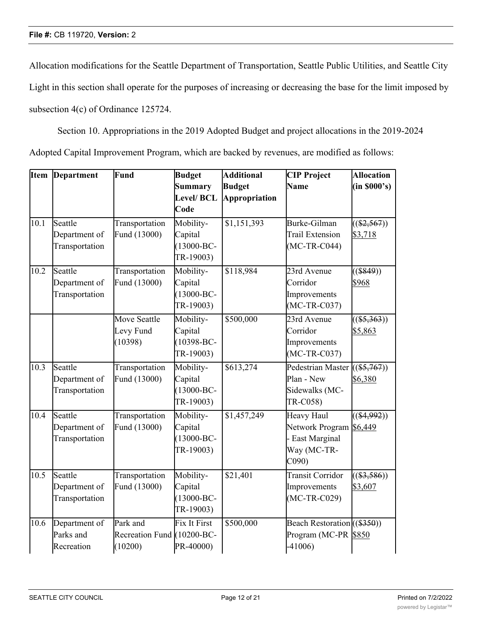Allocation modifications for the Seattle Department of Transportation, Seattle Public Utilities, and Seattle City

Light in this section shall operate for the purposes of increasing or decreasing the base for the limit imposed by

subsection 4(c) of Ordinance 125724.

Section 10. Appropriations in the 2019 Adopted Budget and project allocations in the 2019-2024

Adopted Capital Improvement Program, which are backed by revenues, are modified as follows:

| <b>Item</b> | Department     | Fund                       | <b>Budget</b>       | <b>Additional</b>      | <b>CIP Project</b>            | <b>Allocation</b> |
|-------------|----------------|----------------------------|---------------------|------------------------|-------------------------------|-------------------|
|             |                |                            | Summary             | <b>Budget</b>          | <b>Name</b>                   | (in 8000's)       |
|             |                |                            | Level/ BCL          | <b>Appropriation</b>   |                               |                   |
|             |                |                            | Code                |                        |                               |                   |
| 10.1        | Seattle        | Transportation             | Mobility-           | $\overline{1,151,393}$ | Burke-Gilman                  | $((\$2,567))$     |
|             | Department of  | Fund (13000)               | Capital             |                        | Trail Extension               | \$3,718           |
|             | Transportation |                            | $(13000 - BC -$     |                        | $(MC-TR-C044)$                |                   |
|             |                |                            | TR-19003)           |                        |                               |                   |
| 10.2        | Seattle        | Transportation             | Mobility-           | \$118,984              | 23rd Avenue                   | $($ (\$849))      |
|             | Department of  | Fund (13000)               | Capital             |                        | Corridor                      | \$968             |
|             | Transportation |                            | $(13000 - BC -$     |                        | Improvements                  |                   |
|             |                |                            | TR-19003)           |                        | $(MC-TR-C037)$                |                   |
|             |                | Move Seattle               | Mobility-           | \$500,000              | 23rd Avenue                   | $((\$5,363))$     |
|             |                | Levy Fund                  | Capital             |                        | Corridor                      | \$5,863           |
|             |                | (10398)                    | $(10398 - BC -$     |                        | Improvements                  |                   |
|             |                |                            | TR-19003)           |                        | $(MC-TR-C037)$                |                   |
| 10.3        | Seattle        | Transportation             | Mobility-           | \$613,274              | Pedestrian Master             | $((\$5,767))$     |
|             | Department of  | Fund (13000)               | Capital             |                        | Plan - New                    | \$6,380           |
|             | Transportation |                            | $(13000 - BC -$     |                        | Sidewalks (MC-                |                   |
|             |                |                            | TR-19003)           |                        | TR-C058)                      |                   |
| 10.4        | Seattle        | Transportation             | Mobility-           | \$1,457,249            | Heavy Haul                    | $((\$4,992))$     |
|             | Department of  | Fund (13000)               | Capital             |                        | Network Program               | \$6,449           |
|             | Transportation |                            | $(13000 - BC -$     |                        | East Marginal                 |                   |
|             |                |                            | TR-19003)           |                        | Way (MC-TR-                   |                   |
|             |                |                            |                     |                        | C <sub>090</sub>              |                   |
| 10.5        | Seattle        | Transportation             | Mobility-           | \$21,401               | <b>Transit Corridor</b>       | $((\$3,586))$     |
|             | Department of  | Fund (13000)               | Capital             |                        | Improvements                  | \$3,607           |
|             | Transportation |                            | $(13000 - BC -$     |                        | $(MC-TR-C029)$                |                   |
|             |                |                            | TR-19003)           |                        |                               |                   |
| 10.6        | Department of  | Park and                   | <b>Fix It First</b> | \$500,000              | Beach Restoration $((\$350))$ |                   |
|             | Parks and      | Recreation Fund (10200-BC- |                     |                        | Program (MC-PR \$850          |                   |
|             | Recreation     | (10200)                    | PR-40000)           |                        | $-41006$                      |                   |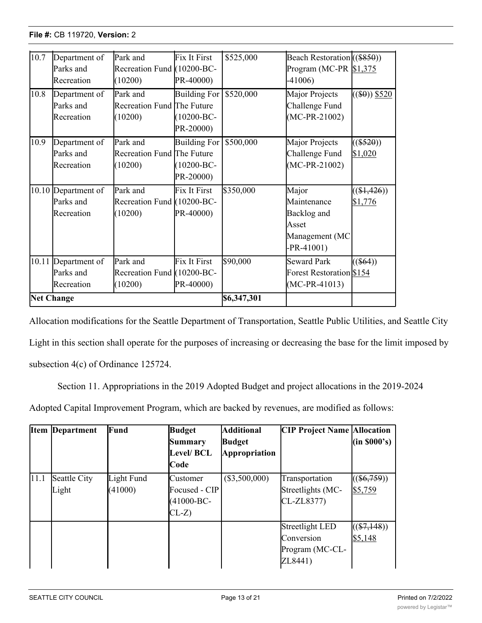| 10.7 | Department of<br>Parks and<br>Recreation       | Park and<br>Recreation Fund (10200-BC-<br>(10200) | Fix It First<br>PR-40000)                           | \$525,000   | Beach Restoration ((\$850))<br>Program (MC-PR $$1,375$<br>$-41006$             |                          |
|------|------------------------------------------------|---------------------------------------------------|-----------------------------------------------------|-------------|--------------------------------------------------------------------------------|--------------------------|
| 10.8 | Department of<br>Parks and<br>Recreation       | Park and<br>Recreation Fund The Future<br>(10200) | <b>Building For</b><br>$(10200 - BC -$<br>PR-20000) | \$520,000   | Major Projects<br>Challenge Fund<br>$(MC-PR-21002)$                            | $((\$0))$ \$520          |
| 10.9 | Department of<br>Parks and<br>Recreation       | Park and<br>Recreation Fund The Future<br>(10200) | <b>Building For</b><br>$(10200 - BC -$<br>PR-20000) | \$500,000   | Major Projects<br>Challenge Fund<br>$(MC-PR-21002)$                            | $((\$520))$<br>\$1,020   |
|      | 10.10 Department of<br>Parks and<br>Recreation | Park and<br>Recreation Fund (10200-BC-<br>(10200) | Fix It First<br>PR-40000)                           | \$350,000   | Major<br>Maintenance<br>Backlog and<br>Asset<br>Management (MC<br>$-PR-41001)$ | $((\$1,426))$<br>\$1,776 |
|      | 10.11 Department of<br>Parks and<br>Recreation | Park and<br>Recreation Fund (10200-BC-<br>(10200) | Fix It First<br>PR-40000)                           | \$90,000    | <b>Seward Park</b><br>Forest Restoration \$154<br>$(MC-PR-41013)$              | $((\$64))$               |
|      | <b>Net Change</b>                              |                                                   |                                                     | \$6,347,301 |                                                                                |                          |

PR-40000)

-41006)

Allocation modifications for the Seattle Department of Transportation, Seattle Public Utilities, and Seattle City Light in this section shall operate for the purposes of increasing or decreasing the base for the limit imposed by subsection 4(c) of Ordinance 125724.

Section 11. Appropriations in the 2019 Adopted Budget and project allocations in the 2019-2024

Adopted Capital Improvement Program, which are backed by revenues, are modified as follows:

|      | <b>Item Department</b> | Fund                  | <b>Budget</b><br>Summary<br><b>Level/ BCL</b><br>Code    | <b>Additional</b><br><b>Budget</b><br><b>Appropriation</b> | <b>CIP Project Name Allocation</b>                          | $(\text{in } $000's)$    |
|------|------------------------|-----------------------|----------------------------------------------------------|------------------------------------------------------------|-------------------------------------------------------------|--------------------------|
| 11.1 | Seattle City<br>Light  | Light Fund<br>(41000) | Customer<br>Focused - CIP<br>$(41000 - BC -$<br>$CL-Z$ ) | $(\$3,500,000)$                                            | Transportation<br>Streetlights (MC-<br>CL-ZL8377)           | $((\$6,759))$<br>\$5,759 |
|      |                        |                       |                                                          |                                                            | Streetlight LED<br>Conversion<br>Program (MC-CL-<br>ZL8441) | $((\$7,148))$<br>\$5,148 |

and University of the University

\$3,345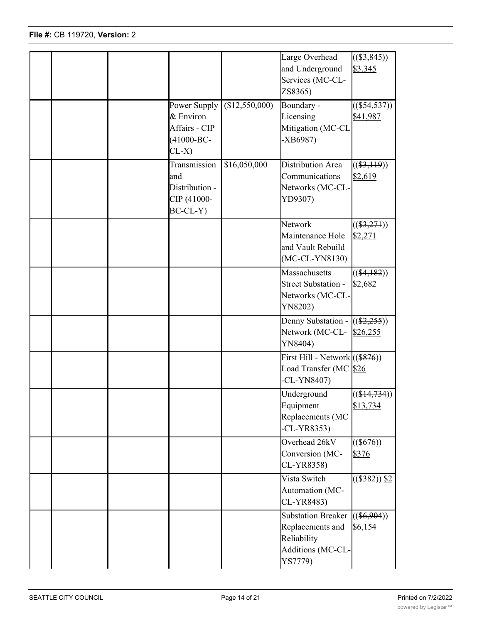|  |                                                                         |              | Large Overhead<br>and Underground<br>Services (MC-CL-<br>ZS8365)                      | $((\$3,845))$<br>\$3,345            |
|--|-------------------------------------------------------------------------|--------------|---------------------------------------------------------------------------------------|-------------------------------------|
|  | Power Supply<br>& Environ<br>Affairs - CIP<br>$(41000 - BC -$<br>$CL-X$ | \$12,550,000 | Boundary -<br>Licensing<br>Mitigation (MC-CL<br>$-XB6987)$                            | $((\$54,537))$<br>\$41,987          |
|  | Transmission<br>and<br>Distribution -<br>CIP (41000-<br>$BC-CL-Y)$      | \$16,050,000 | Distribution Area<br>Communications<br>Networks (MC-CL-<br>YD9307)                    | $((\$3,119))$<br>\$2,619            |
|  |                                                                         |              | Network<br>Maintenance Hole<br>and Vault Rebuild<br>$(MC-CL-YN8130)$                  | $((\$3,271))$<br>\$2,271            |
|  |                                                                         |              | Massachusetts<br><b>Street Substation -</b><br>Networks (MC-CL-<br>YN8202)            | $((\$4,182))$<br>\$2,682            |
|  |                                                                         |              | Denny Substation - $((\$2,255))$<br>Network (MC-CL- \$26,255<br>YN8404)               |                                     |
|  |                                                                         |              | First Hill - Network $((\$876))$<br>Load Transfer (MC \$26<br>-CL-YN8407)             |                                     |
|  |                                                                         |              | Underground<br>Equipment<br>Replacements (MC<br>$-CL-YR8353)$                         | $((\$14,734))$<br>\$13,734          |
|  |                                                                         |              | Overhead 26kV<br>Conversion (MC-<br>CL-YR8358)                                        | $((\$676))$<br>\$376                |
|  |                                                                         |              | Vista Switch<br>Automation (MC-<br>CL-YR8483)                                         | $\sqrt{((\$382))}\ \frac{\$2}{\$2}$ |
|  |                                                                         |              | Substation Breaker<br>Replacements and<br>Reliability<br>Additions (MC-CL-<br>YS7779) | $((\$6,904))$<br>\$6,154            |

Reliability (MC-CL

\$2,400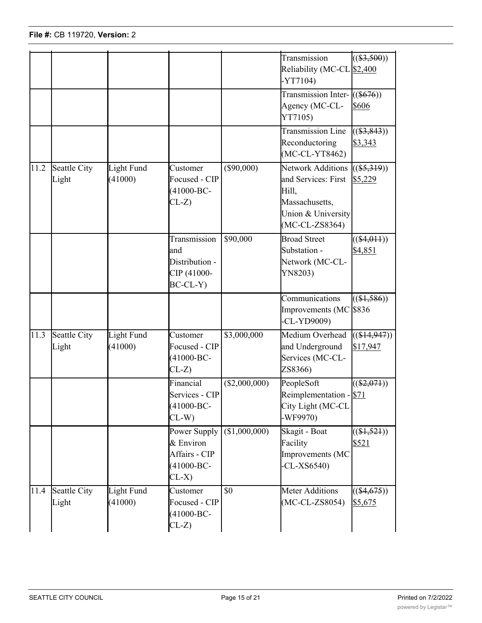|      |                       |                       |                                                                         |                 | Transmission<br>Reliability (MC-CL \$2,400<br>$-YT7104)$                                                             | $((\$3,500))$                     |
|------|-----------------------|-----------------------|-------------------------------------------------------------------------|-----------------|----------------------------------------------------------------------------------------------------------------------|-----------------------------------|
|      |                       |                       |                                                                         |                 | Transmission Inter- $((\$676))$<br>Agency (MC-CL-<br>YT7105)                                                         | \$606                             |
|      |                       |                       |                                                                         |                 | <b>Transmission Line</b><br>Reconductoring<br>(MC-CL-YT8462)                                                         | $((\$3,843))$<br>\$3,343          |
| 11.2 | Seattle City<br>Light | Light Fund<br>(41000) | Customer<br>Focused - CIP<br>$(41000 - BC -$<br>$CL-Z$                  | $(\$90,000)$    | <b>Network Additions</b><br>and Services: First<br>Hill,<br>Massachusetts,<br>Union & University<br>$(MC-CL-ZS8364)$ | $((\$5,319))$<br>\$5,229          |
|      |                       |                       | Transmission<br>and<br>Distribution -<br>CIP (41000-<br>$BC-CL-Y$       | \$90,000        | <b>Broad Street</b><br>Substation -<br>Network (MC-CL-<br>YN8203)                                                    | $((\$4,011))$<br>\$4,851          |
|      |                       |                       |                                                                         |                 | Communications<br>Improvements (MC<br>$-CL-YP9009$                                                                   | $((\$1,586))$<br>\$836            |
| 11.3 | Seattle City<br>Light | Light Fund<br>(41000) | Customer<br>Focused - CIP<br>$(41000 - BC -$<br>$CL-Z$                  | \$3,000,000     | Medium Overhead<br>and Underground<br>Services (MC-CL-<br>ZS8366)                                                    | $((\$14,947))$<br>\$17,947        |
|      |                       |                       | Financial<br>Services - CIP<br>$(41000 - BC -$<br>$CL-W$                | $(\$2,000,000)$ | PeopleSoft<br>Reimplementation - \$71<br>City Light (MC-CL<br>-WF9970)                                               | $((\$2,071))$                     |
|      |                       |                       | Power Supply<br>& Environ<br>Affairs - CIP<br>$(41000 - BC -$<br>$CL-X$ | (\$1,000,000)   | Skagit - Boat<br>Facility<br>Improvements (MC<br>$-CL-XS6540$                                                        | $\overline{((\$1,521))}$<br>\$521 |
| 11.4 | Seattle City<br>Light | Light Fund<br>(41000) | Customer<br>Focused - CIP<br>$(41000 - BC -$<br>$CL-Z$                  | \$0             | <b>Meter Additions</b><br>$(MC-CL-ZS8054)$                                                                           | $((\$4,675))$<br>\$5,675          |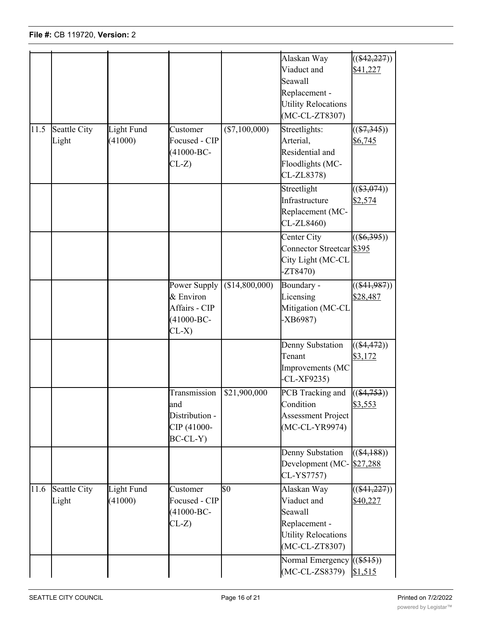| 11.5 | Seattle City          | Light Fund                   | Customer                                                                                                          | $(\$7,100,000)$ | Alaskan Way<br>Viaduct and<br>Seawall<br>Replacement -<br><b>Utility Relocations</b><br>(MC-CL-ZT8307)<br>Streetlights: | $((\$42,227))$<br>\$41,227<br>$((\$7,345))$ |
|------|-----------------------|------------------------------|-------------------------------------------------------------------------------------------------------------------|-----------------|-------------------------------------------------------------------------------------------------------------------------|---------------------------------------------|
|      | Light                 | (41000)                      | Focused - CIP<br>$(41000 - BC -$<br>$CL-Z$                                                                        |                 | Arterial,<br>Residential and<br>Floodlights (MC-<br>CL-ZL8378)                                                          | \$6,745                                     |
|      |                       |                              |                                                                                                                   |                 | Streetlight<br>Infrastructure<br>Replacement (MC-<br>CL-ZL8460)                                                         | $((\$3,074))$<br>\$2,574                    |
|      |                       |                              |                                                                                                                   |                 | Center City<br>Connector Streetcar \$395<br>City Light (MC-CL<br>ZT8470                                                 | $((\$6,395))$                               |
|      |                       |                              | Power Supply<br>& Environ<br>Affairs - CIP<br>$(41000 - BC -$<br>$CL-X)$                                          | (\$14,800,000)  | Boundary -<br>Licensing<br>Mitigation (MC-CL<br>$-XB6987)$                                                              | $((\$41,987))$<br>\$28,487                  |
|      |                       |                              |                                                                                                                   |                 | Denny Substation<br>Tenant<br>Improvements (MC<br>$-CL-XF9235$                                                          | $((\$4,472))$<br>\$3,172                    |
|      |                       |                              | Transmission $\left  \frac{621,900,000}{21,000,000} \right $<br>and<br>Distribution -<br>CIP (41000-<br>$BC-CL-Y$ |                 | PCB Tracking and $((\$4,753))$<br>Condition<br><b>Assessment Project</b><br>(MC-CL-YR9974)                              | \$3,553                                     |
|      |                       |                              |                                                                                                                   |                 | Denny Substation<br>Development (MC-<br>CL-YS7757)                                                                      | $((\$4,188))$<br>\$27,288                   |
| 11.6 | Seattle City<br>Light | <b>Light Fund</b><br>(41000) | Customer<br>Focused - CIP<br>$(41000 - BC -$<br>$CL-Z$                                                            | \$0             | Alaskan Way<br>Viaduct and<br>Seawall<br>Replacement -<br><b>Utility Relocations</b><br>(MC-CL-ZT8307)                  | $((\$41,227))$<br>\$40,227                  |
|      |                       |                              |                                                                                                                   |                 | Normal Emergency<br>$(MC-CL-ZS8379)$                                                                                    | $((\$515))$<br>\$1,515                      |

Light Fund

11.7 Seattle City

 $\mathcal{D}(\mathcal{D})$  by  $\mathcal{D}(\mathcal{D})$  by  $\mathcal{D}(\mathcal{D})$  and  $\mathcal{D}(\mathcal{D})$ 

Power Supply

 $(12,816)$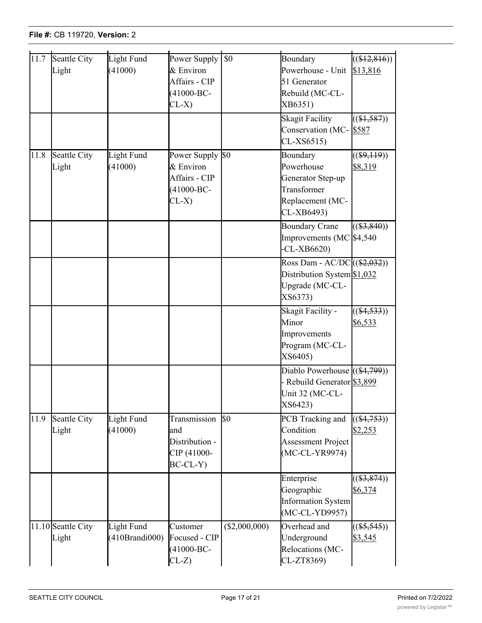| 11.7 | Seattle City<br>Light        | Light Fund<br>(41000)        | Power Supply<br>& Environ<br>Affairs - CIP<br>$(41000 - BC -$<br>$CL-X$     | $\overline{50}$ | Boundary<br>Powerhouse - Unit<br>51 Generator<br>Rebuild (MC-CL-<br>XB6351)                  | $\overline{((\$12,816))}$<br>\$13,816 |
|------|------------------------------|------------------------------|-----------------------------------------------------------------------------|-----------------|----------------------------------------------------------------------------------------------|---------------------------------------|
|      |                              |                              |                                                                             |                 | <b>Skagit Facility</b><br>Conservation (MC- \$587<br>$CL-XS6515)$                            | $((\$1,587))$                         |
| 11.8 | Seattle City<br>Light        | Light Fund<br>(41000)        | Power Supply \$0<br>& Environ<br>Affairs - CIP<br>$(41000 - BC -$<br>$CL-X$ |                 | Boundary<br>Powerhouse<br>Generator Step-up<br>Transformer<br>Replacement (MC-<br>CL-XB6493) | $((\$9,119))$<br>\$8,319              |
|      |                              |                              |                                                                             |                 | <b>Boundary Crane</b><br>Improvements (MC $$4,540$<br>$-CL-XB6620$                           | $((\$3,840))$                         |
|      |                              |                              |                                                                             |                 | Ross Dam - AC/DC((\$2,032))<br>Distribution System \$1,032<br>Upgrade (MC-CL-<br>XS6373)     |                                       |
|      |                              |                              |                                                                             |                 | Skagit Facility -<br>Minor<br>Improvements<br>Program (MC-CL-<br>XS6405)                     | $\overline{((\$4,533)})$<br>\$6,533   |
|      |                              |                              |                                                                             |                 | Diablo Powerhouse $((\$4,799))$<br>- Rebuild Generator \$3,899<br>Unit 32 (MC-CL-<br>XS6423) |                                       |
| 11.9 | <b>Seattle City</b><br>Light | Light Fund<br>(41000)        | Transmission<br>and<br>Distribution -<br>CIP (41000-<br>$BC-CL-Y$           | $\mathbb{S}^0$  | PCB Tracking and<br>Condition<br><b>Assessment Project</b><br>(MC-CL-YR9974)                 | $((\$4,753))$<br>\$2,253              |
|      |                              |                              |                                                                             |                 | Enterprise<br>Geographic<br><b>Information System</b><br>(MC-CL-YD9957)                      | $((\$3,874))$<br>\$6,374              |
|      | 11.10 Seattle City<br>Light  | Light Fund<br>(410Brandi000) | Customer<br>Focused - CIP<br>$(41000 - BC -$<br>$CL-Z$                      | (\$2,000,000)   | Overhead and<br>Underground<br>Relocations (MC-<br>CL-ZT8369)                                | $((\$5,545))$<br>\$3,545              |

Upgrades (MC-CL-

\$151

Services - CIP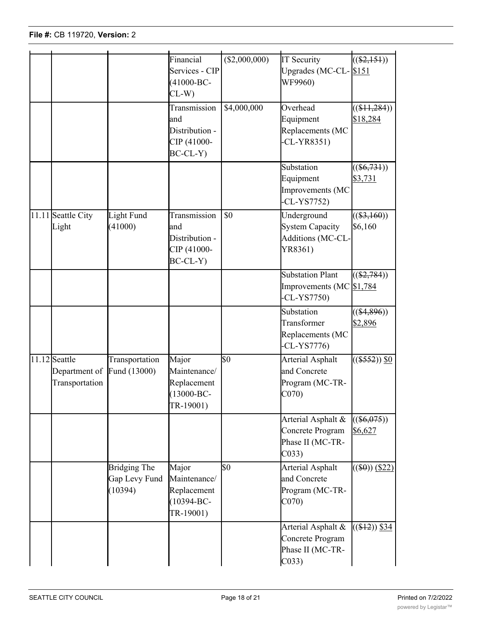(410Branding)

Focused - CIP

<u>undergrounder</u>

\$3,545

Light

|                                                               |                                                 | Financial<br>Services - CIP<br>$(41000 - BC -$<br>$CL-W$             | ( \$2,000,000)   | <b>IT Security</b><br>Upgrades (MC-CL-8151<br>WF9960)                          | $((\$2,151))$              |
|---------------------------------------------------------------|-------------------------------------------------|----------------------------------------------------------------------|------------------|--------------------------------------------------------------------------------|----------------------------|
|                                                               |                                                 | Transmission<br>and<br>Distribution -<br>CIP (41000-<br>$BC-CL-Y$    | \$4,000,000      | Overhead<br>Equipment<br>Replacements (MC<br>$CL-YR8351)$                      | $((\$11,284))$<br>\$18,284 |
|                                                               |                                                 |                                                                      |                  | Substation<br>Equipment<br>Improvements (MC<br>$-CL-YST752$                    | $((\$6,731))$<br>\$3,731   |
| 11.11 Seattle City<br>Light                                   | Light Fund<br>(41000)                           | Transmission<br>and<br>Distribution -<br>CIP (41000-<br>$BC-CL-Y$    | \$0              | Underground<br><b>System Capacity</b><br>Additions (MC-CL-<br>YR8361)          | $((\$3,160))$<br>\$6,160   |
|                                                               |                                                 |                                                                      |                  | <b>Substation Plant</b><br>Improvements (MC \$1,784<br>$-CL-YST750$            | $((\$2,784))$              |
|                                                               |                                                 |                                                                      |                  | Substation<br>Transformer<br>Replacements (MC<br>$-CL-YST776$                  | $((\$4,896))$<br>\$2,896   |
| 11.12 Seattle<br>Department of Fund (13000)<br>Transportation | Transportation                                  | Major<br>Maintenance/<br>Replacement<br>$(13000 - BC -$<br>TR-19001) | \$0              | <b>Arterial Asphalt</b><br>and Concrete<br>Program (MC-TR-<br>CO70             | $((\$552))$ $§0$           |
|                                                               |                                                 |                                                                      |                  | Arterial Asphalt &<br>Concrete Program<br>Phase II (MC-TR-<br>C <sub>033</sub> | $((\$6,075))$<br>\$6,627   |
|                                                               | <b>Bridging The</b><br>Gap Levy Fund<br>(10394) | Major<br>Maintenance/<br>Replacement<br>$(10394 - BC -$<br>TR-19001) | $\overline{\$0}$ | Arterial Asphalt<br>and Concrete<br>Program (MC-TR-<br>CO70                    | $((\$0))$ (\$22)           |
|                                                               |                                                 |                                                                      |                  | Arterial Asphalt &<br>Concrete Program<br>Phase II (MC-TR-<br>CO33             | $((\$12))$ \$34            |

Fund (30020)

and Concrete

Maintenance/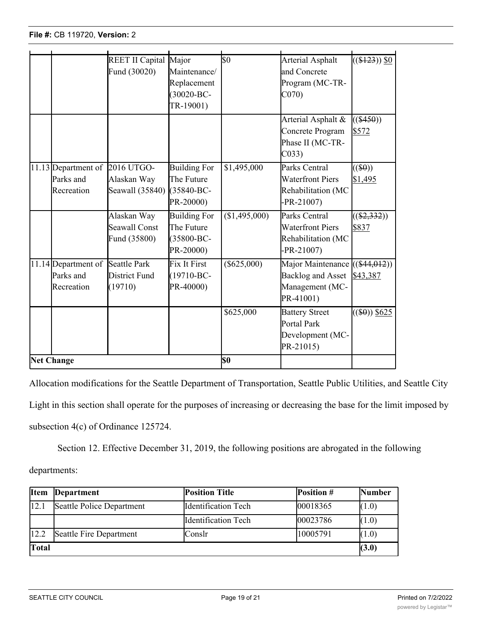|                   |                                                             | REET II Capital Major<br>Fund (30020)               | Maintenance/<br>Replacement<br>$(30020 - BC -$<br>TR-19001)       | $\overline{\$0}$ | Arterial Asphalt<br>and Concrete<br>Program (MC-TR-<br>CO70                     | $\sqrt{(\$123))}\$0$       |
|-------------------|-------------------------------------------------------------|-----------------------------------------------------|-------------------------------------------------------------------|------------------|---------------------------------------------------------------------------------|----------------------------|
|                   |                                                             |                                                     |                                                                   |                  | Arterial Asphalt &<br>Concrete Program<br>Phase II (MC-TR-<br>C <sub>033</sub>  | $((\$450))$<br>\$572       |
|                   | 11.13 Department of 2016 UTGO-<br>Parks and<br>Recreation   | Alaskan Way<br>Seawall (35840)                      | <b>Building For</b><br>The Future<br>(35840-BC-<br>PR-20000)      | \$1,495,000      | Parks Central<br><b>Waterfront Piers</b><br>Rehabilitation (MC<br>$-PR - 21007$ | $((\$0))$<br>\$1,495       |
|                   |                                                             | Alaskan Way<br><b>Seawall Const</b><br>Fund (35800) | <b>Building For</b><br>The Future<br>$(35800 - BC -$<br>PR-20000) | (\$1,495,000)    | Parks Central<br><b>Waterfront Piers</b><br>Rehabilitation (MC<br>$-PR - 21007$ | $((\$2,332))$<br>\$837     |
|                   | 11.14 Department of Seattle Park<br>Parks and<br>Recreation | District Fund<br>(19710)                            | <b>Fix It First</b><br>$(19710 - BC -$<br>PR-40000)               | $(\$625,000)$    | Major Maintenance<br><b>Backlog and Asset</b><br>Management (MC-<br>PR-41001)   | $((\$44,012))$<br>\$43,387 |
|                   |                                                             |                                                     |                                                                   | \$625,000        | <b>Battery Street</b><br>Portal Park<br>Development (MC-<br>PR-21015)           | $((\$0))$ \$625            |
| <b>Net Change</b> |                                                             |                                                     |                                                                   | lso              |                                                                                 |                            |

Concrete Program

Allocation modifications for the Seattle Department of Transportation, Seattle Public Utilities, and Seattle City

Light in this section shall operate for the purposes of increasing or decreasing the base for the limit imposed by subsection 4(c) of Ordinance 125724.

Section 12. Effective December 31, 2019, the following positions are abrogated in the following

departments:

| <b>Item</b> | Department                | <b>Position Title</b>       | <b>Position #</b> | <b>Number</b> |  |
|-------------|---------------------------|-----------------------------|-------------------|---------------|--|
| 12.1        | Seattle Police Department | Identification Tech         | 00018365          | (1.0)         |  |
|             |                           | <b>I</b> dentification Tech | 00023786          | (1.0)         |  |
| 12.2        | Seattle Fire Department   | <b>Conslr</b>               | 10005791          | (1.0)         |  |
| Total       |                           |                             |                   |               |  |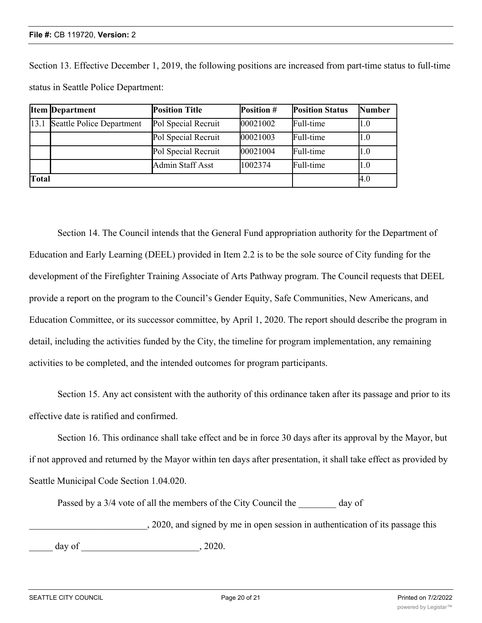Section 13. Effective December 1, 2019, the following positions are increased from part-time status to full-time status in Seattle Police Department:

|       | <b>Item Department</b>    | <b>Position Title</b> | Position # | <b>Position Status</b> | <b>Number</b> |
|-------|---------------------------|-----------------------|------------|------------------------|---------------|
| 13.1  | Seattle Police Department | Pol Special Recruit   | 00021002   | Full-time              | II.O          |
|       |                           | Pol Special Recruit   | 00021003   | Full-time              | l1.0          |
|       |                           | Pol Special Recruit   | 00021004   | Full-time              | l1.0          |
|       |                           | Admin Staff Asst      | 1002374    | Full-time              | l1.0          |
| Total |                           |                       | 4.0        |                        |               |

Section 14. The Council intends that the General Fund appropriation authority for the Department of Education and Early Learning (DEEL) provided in Item 2.2 is to be the sole source of City funding for the development of the Firefighter Training Associate of Arts Pathway program. The Council requests that DEEL provide a report on the program to the Council's Gender Equity, Safe Communities, New Americans, and Education Committee, or its successor committee, by April 1, 2020. The report should describe the program in detail, including the activities funded by the City, the timeline for program implementation, any remaining activities to be completed, and the intended outcomes for program participants.

Section 15. Any act consistent with the authority of this ordinance taken after its passage and prior to its effective date is ratified and confirmed.

Section 16. This ordinance shall take effect and be in force 30 days after its approval by the Mayor, but if not approved and returned by the Mayor within ten days after presentation, it shall take effect as provided by Seattle Municipal Code Section 1.04.020.

Passed by a 3/4 vote of all the members of the City Council the day of

\_\_\_\_\_\_\_\_\_\_\_\_\_\_\_\_\_\_\_\_\_\_\_\_\_, 2020, and signed by me in open session in authentication of its passage this  $\frac{day}{x}$  of  $\frac{2020}{x}$